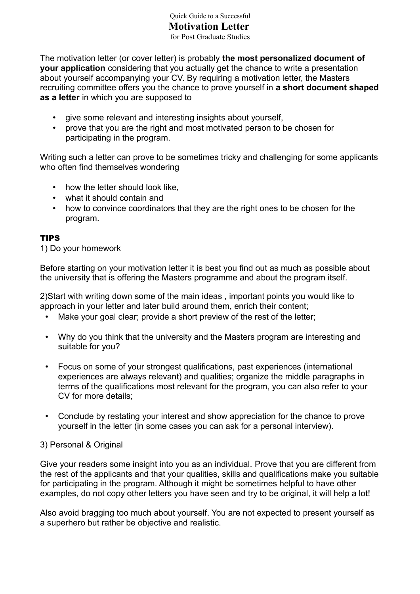#### Quick Guide to a Successful **Motivation Letter** for Post Graduate Studies

The motivation letter (or cover letter) is probably **the most personalized document of your application** considering that you actually get the chance to write a presentation about yourself accompanying your CV. By requiring a motivation letter, the Masters recruiting committee offers you the chance to prove yourself in **a short document shaped as a letter** in which you are supposed to

- give some relevant and interesting insights about yourself,
- prove that you are the right and most motivated person to be chosen for participating in the program.

Writing such a letter can prove to be sometimes tricky and challenging for some applicants who often find themselves wondering

- how the letter should look like,
- what it should contain and
- how to convince coordinators that they are the right ones to be chosen for the program.

#### TIPS

1) Do your homework

Before starting on your motivation letter it is best you find out as much as possible about the university that is offering the Masters programme and about the program itself.

2)Start with writing down some of the main ideas , important points you would like to approach in your letter and later build around them, enrich their content;

- Make your goal clear; provide a short preview of the rest of the letter;
- Why do you think that the university and the Masters program are interesting and suitable for you?
- Focus on some of your strongest qualifications, past experiences (international experiences are always relevant) and qualities; organize the middle paragraphs in terms of the qualifications most relevant for the program, you can also refer to your CV for more details;
- Conclude by restating your interest and show appreciation for the chance to prove yourself in the letter (in some cases you can ask for a personal interview).

#### 3) Personal & Original

Give your readers some insight into you as an individual. Prove that you are different from the rest of the applicants and that your qualities, skills and qualifications make you suitable for participating in the program. Although it might be sometimes helpful to have other examples, do not copy other letters you have seen and try to be original, it will help a lot!

Also avoid bragging too much about yourself. You are not expected to present yourself as a superhero but rather be objective and realistic.